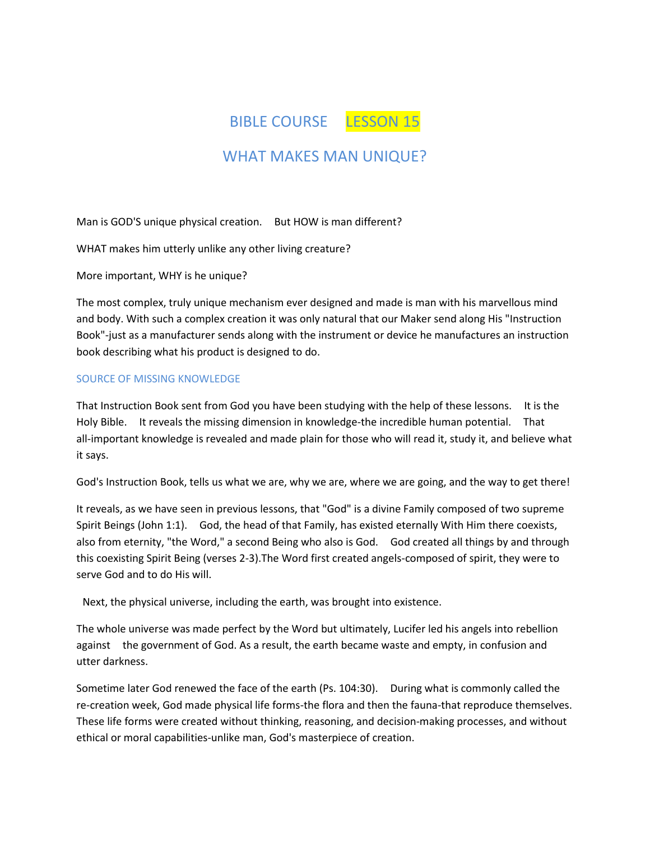BIBLE COURSE LESSON 15

# WHAT MAKES MAN UNIQUE?

Man is GOD'S unique physical creation. But HOW is man different?

WHAT makes him utterly unlike any other living creature?

More important, WHY is he unique?

The most complex, truly unique mechanism ever designed and made is man with his marvellous mind and body. With such a complex creation it was only natural that our Maker send along His "Instruction Book"-just as a manufacturer sends along with the instrument or device he manufactures an instruction book describing what his product is designed to do.

# SOURCE OF MISSING KNOWLEDGE

That Instruction Book sent from God you have been studying with the help of these lessons. It is the Holy Bible. It reveals the missing dimension in knowledge-the incredible human potential. That all-important knowledge is revealed and made plain for those who will read it, study it, and believe what it says.

God's Instruction Book, tells us what we are, why we are, where we are going, and the way to get there!

It reveals, as we have seen in previous lessons, that "God" is a divine Family composed of two supreme Spirit Beings (John 1:1). God, the head of that Family, has existed eternally With Him there coexists, also from eternity, "the Word," a second Being who also is God. God created all things by and through this coexisting Spirit Being (verses 2-3).The Word first created angels-composed of spirit, they were to serve God and to do His will.

Next, the physical universe, including the earth, was brought into existence.

The whole universe was made perfect by the Word but ultimately, Lucifer led his angels into rebellion against the government of God. As a result, the earth became waste and empty, in confusion and utter darkness.

Sometime later God renewed the face of the earth (Ps. 104:30). During what is commonly called the re-creation week, God made physical life forms-the flora and then the fauna-that reproduce themselves. These life forms were created without thinking, reasoning, and decision-making processes, and without ethical or moral capabilities-unlike man, God's masterpiece of creation.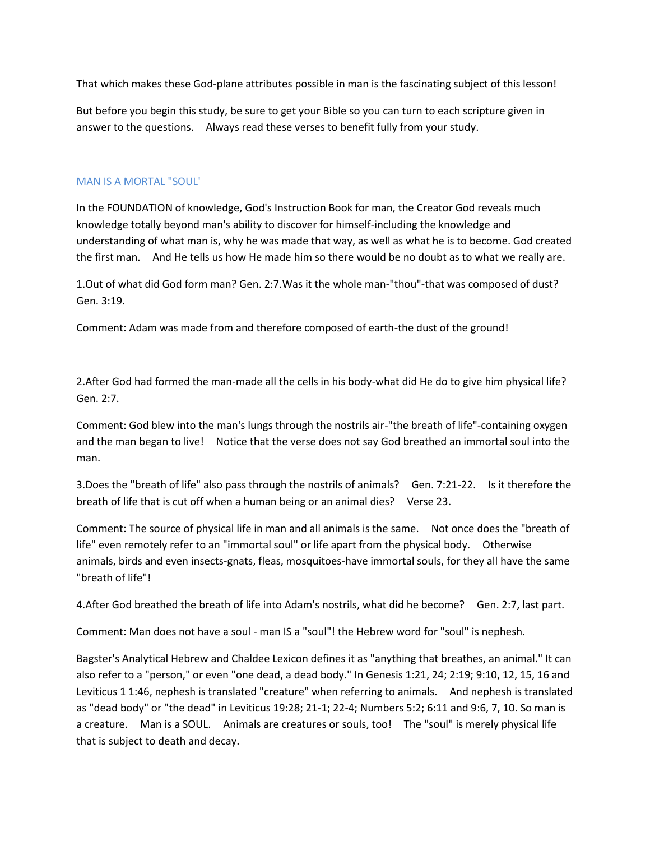That which makes these God-plane attributes possible in man is the fascinating subject of this lesson!

But before you begin this study, be sure to get your Bible so you can turn to each scripture given in answer to the questions. Always read these verses to benefit fully from your study.

#### MAN IS A MORTAL "SOUL'

In the FOUNDATION of knowledge, God's Instruction Book for man, the Creator God reveals much knowledge totally beyond man's ability to discover for himself-including the knowledge and understanding of what man is, why he was made that way, as well as what he is to become. God created the first man. And He tells us how He made him so there would be no doubt as to what we really are.

1.Out of what did God form man? Gen. 2:7.Was it the whole man-"thou"-that was composed of dust? Gen. 3:19.

Comment: Adam was made from and therefore composed of earth-the dust of the ground!

2.After God had formed the man-made all the cells in his body-what did He do to give him physical life? Gen. 2:7.

Comment: God blew into the man's lungs through the nostrils air-"the breath of life"-containing oxygen and the man began to live! Notice that the verse does not say God breathed an immortal soul into the man.

3.Does the "breath of life" also pass through the nostrils of animals? Gen. 7:21-22. Is it therefore the breath of life that is cut off when a human being or an animal dies? Verse 23.

Comment: The source of physical life in man and all animals is the same. Not once does the "breath of life" even remotely refer to an "immortal soul" or life apart from the physical body. Otherwise animals, birds and even insects-gnats, fleas, mosquitoes-have immortal souls, for they all have the same "breath of life"!

4.After God breathed the breath of life into Adam's nostrils, what did he become? Gen. 2:7, last part.

Comment: Man does not have a soul - man IS a "soul"! the Hebrew word for "soul" is nephesh.

Bagster's Analytical Hebrew and Chaldee Lexicon defines it as "anything that breathes, an animal." It can also refer to a "person," or even "one dead, a dead body." In Genesis 1:21, 24; 2:19; 9:10, 12, 15, 16 and Leviticus 1 1:46, nephesh is translated "creature" when referring to animals. And nephesh is translated as "dead body" or "the dead" in Leviticus 19:28; 21-1; 22-4; Numbers 5:2; 6:11 and 9:6, 7, 10. So man is a creature. Man is a SOUL. Animals are creatures or souls, too! The "soul" is merely physical life that is subject to death and decay.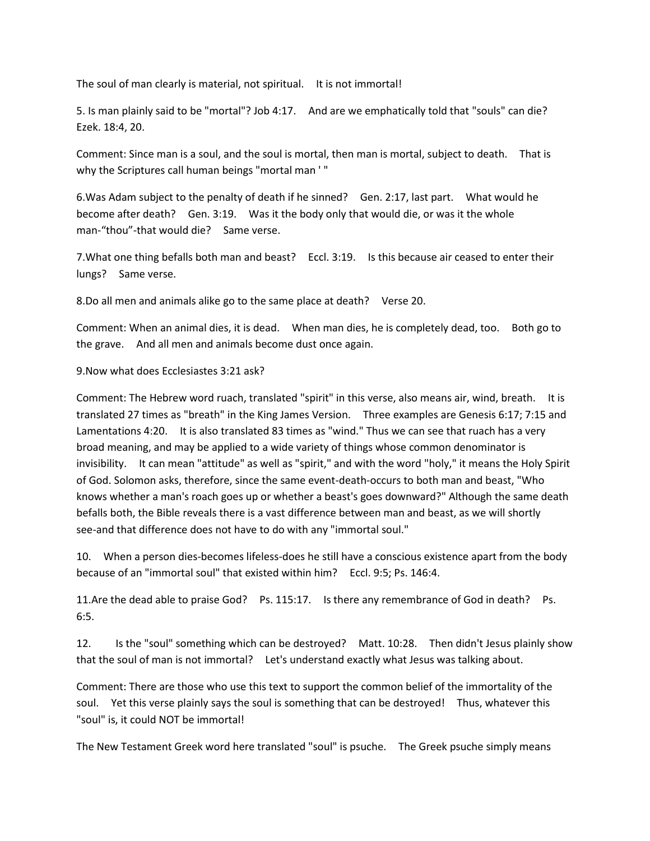The soul of man clearly is material, not spiritual. It is not immortal!

5. Is man plainly said to be "mortal"? Job 4:17. And are we emphatically told that "souls" can die? Ezek. 18:4, 20.

Comment: Since man is a soul, and the soul is mortal, then man is mortal, subject to death. That is why the Scriptures call human beings "mortal man ' "

6.Was Adam subject to the penalty of death if he sinned? Gen. 2:17, last part. What would he become after death? Gen. 3:19. Was it the body only that would die, or was it the whole man-"thou"-that would die? Same verse.

7.What one thing befalls both man and beast? Eccl. 3:19. Is this because air ceased to enter their lungs? Same verse.

8.Do all men and animals alike go to the same place at death? Verse 20.

Comment: When an animal dies, it is dead. When man dies, he is completely dead, too. Both go to the grave. And all men and animals become dust once again.

9.Now what does Ecclesiastes 3:21 ask?

Comment: The Hebrew word ruach, translated "spirit" in this verse, also means air, wind, breath. It is translated 27 times as "breath" in the King James Version. Three examples are Genesis 6:17; 7:15 and Lamentations 4:20. It is also translated 83 times as "wind." Thus we can see that ruach has a very broad meaning, and may be applied to a wide variety of things whose common denominator is invisibility. It can mean "attitude" as well as "spirit," and with the word "holy," it means the Holy Spirit of God. Solomon asks, therefore, since the same event-death-occurs to both man and beast, "Who knows whether a man's roach goes up or whether a beast's goes downward?" Although the same death befalls both, the Bible reveals there is a vast difference between man and beast, as we will shortly see-and that difference does not have to do with any "immortal soul."

10. When a person dies-becomes lifeless-does he still have a conscious existence apart from the body because of an "immortal soul" that existed within him? Eccl. 9:5; Ps. 146:4.

11.Are the dead able to praise God? Ps. 115:17. Is there any remembrance of God in death? Ps. 6:5.

12. Is the "soul" something which can be destroyed? Matt. 10:28. Then didn't Jesus plainly show that the soul of man is not immortal? Let's understand exactly what Jesus was talking about.

Comment: There are those who use this text to support the common belief of the immortality of the soul. Yet this verse plainly says the soul is something that can be destroyed! Thus, whatever this "soul" is, it could NOT be immortal!

The New Testament Greek word here translated "soul" is psuche. The Greek psuche simply means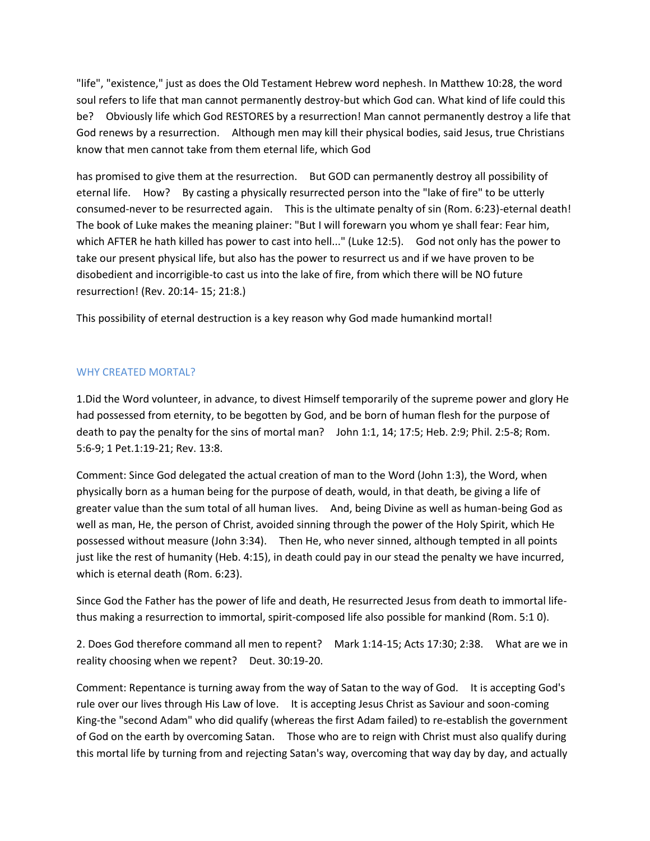"life", "existence," just as does the Old Testament Hebrew word nephesh. In Matthew 10:28, the word soul refers to life that man cannot permanently destroy-but which God can. What kind of life could this be? Obviously life which God RESTORES by a resurrection! Man cannot permanently destroy a life that God renews by a resurrection. Although men may kill their physical bodies, said Jesus, true Christians know that men cannot take from them eternal life, which God

has promised to give them at the resurrection. But GOD can permanently destroy all possibility of eternal life. How? By casting a physically resurrected person into the "lake of fire" to be utterly consumed-never to be resurrected again. This is the ultimate penalty of sin (Rom. 6:23)-eternal death! The book of Luke makes the meaning plainer: "But I will forewarn you whom ye shall fear: Fear him, which AFTER he hath killed has power to cast into hell..." (Luke 12:5). God not only has the power to take our present physical life, but also has the power to resurrect us and if we have proven to be disobedient and incorrigible-to cast us into the lake of fire, from which there will be NO future resurrection! (Rev. 20:14- 15; 21:8.)

This possibility of eternal destruction is a key reason why God made humankind mortal!

# WHY CREATED MORTAL?

1.Did the Word volunteer, in advance, to divest Himself temporarily of the supreme power and glory He had possessed from eternity, to be begotten by God, and be born of human flesh for the purpose of death to pay the penalty for the sins of mortal man? John 1:1, 14; 17:5; Heb. 2:9; Phil. 2:5-8; Rom. 5:6-9; 1 Pet.1:19-21; Rev. 13:8.

Comment: Since God delegated the actual creation of man to the Word (John 1:3), the Word, when physically born as a human being for the purpose of death, would, in that death, be giving a life of greater value than the sum total of all human lives. And, being Divine as well as human-being God as well as man, He, the person of Christ, avoided sinning through the power of the Holy Spirit, which He possessed without measure (John 3:34). Then He, who never sinned, although tempted in all points just like the rest of humanity (Heb. 4:15), in death could pay in our stead the penalty we have incurred, which is eternal death (Rom. 6:23).

Since God the Father has the power of life and death, He resurrected Jesus from death to immortal lifethus making a resurrection to immortal, spirit-composed life also possible for mankind (Rom. 5:1 0).

2. Does God therefore command all men to repent? Mark 1:14-15; Acts 17:30; 2:38. What are we in reality choosing when we repent? Deut. 30:19-20.

Comment: Repentance is turning away from the way of Satan to the way of God. It is accepting God's rule over our lives through His Law of love. It is accepting Jesus Christ as Saviour and soon-coming King-the "second Adam" who did qualify (whereas the first Adam failed) to re-establish the government of God on the earth by overcoming Satan. Those who are to reign with Christ must also qualify during this mortal life by turning from and rejecting Satan's way, overcoming that way day by day, and actually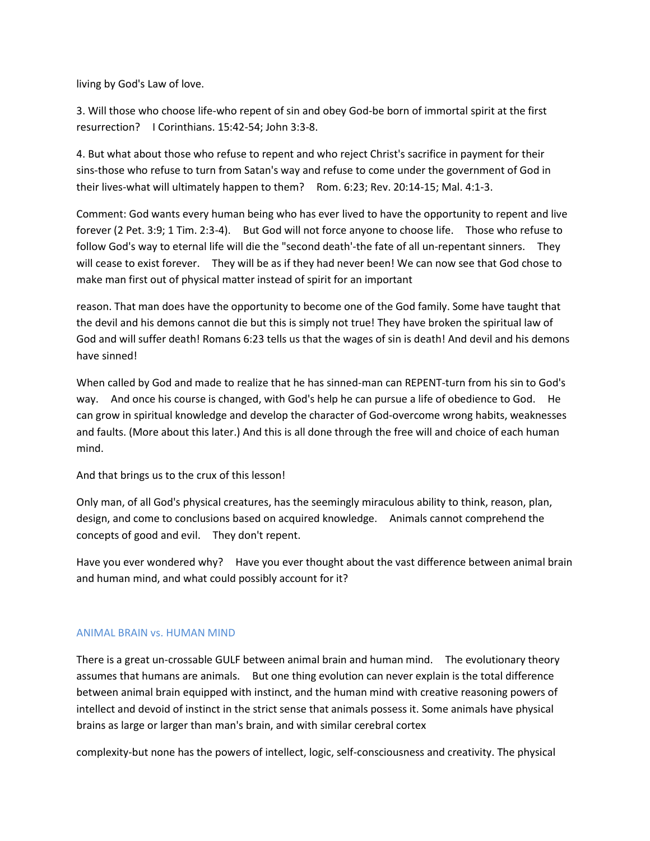living by God's Law of love.

3. Will those who choose life-who repent of sin and obey God-be born of immortal spirit at the first resurrection? I Corinthians. 15:42-54; John 3:3-8.

4. But what about those who refuse to repent and who reject Christ's sacrifice in payment for their sins-those who refuse to turn from Satan's way and refuse to come under the government of God in their lives-what will ultimately happen to them? Rom. 6:23; Rev. 20:14-15; Mal. 4:1-3.

Comment: God wants every human being who has ever lived to have the opportunity to repent and live forever (2 Pet. 3:9; 1 Tim. 2:3-4). But God will not force anyone to choose life. Those who refuse to follow God's way to eternal life will die the "second death'-the fate of all un-repentant sinners. They will cease to exist forever. They will be as if they had never been! We can now see that God chose to make man first out of physical matter instead of spirit for an important

reason. That man does have the opportunity to become one of the God family. Some have taught that the devil and his demons cannot die but this is simply not true! They have broken the spiritual law of God and will suffer death! Romans 6:23 tells us that the wages of sin is death! And devil and his demons have sinned!

When called by God and made to realize that he has sinned-man can REPENT-turn from his sin to God's way. And once his course is changed, with God's help he can pursue a life of obedience to God. He can grow in spiritual knowledge and develop the character of God-overcome wrong habits, weaknesses and faults. (More about this later.) And this is all done through the free will and choice of each human mind.

And that brings us to the crux of this lesson!

Only man, of all God's physical creatures, has the seemingly miraculous ability to think, reason, plan, design, and come to conclusions based on acquired knowledge. Animals cannot comprehend the concepts of good and evil. They don't repent.

Have you ever wondered why? Have you ever thought about the vast difference between animal brain and human mind, and what could possibly account for it?

# ANIMAL BRAIN vs. HUMAN MIND

There is a great un-crossable GULF between animal brain and human mind. The evolutionary theory assumes that humans are animals. But one thing evolution can never explain is the total difference between animal brain equipped with instinct, and the human mind with creative reasoning powers of intellect and devoid of instinct in the strict sense that animals possess it. Some animals have physical brains as large or larger than man's brain, and with similar cerebral cortex

complexity-but none has the powers of intellect, logic, self-consciousness and creativity. The physical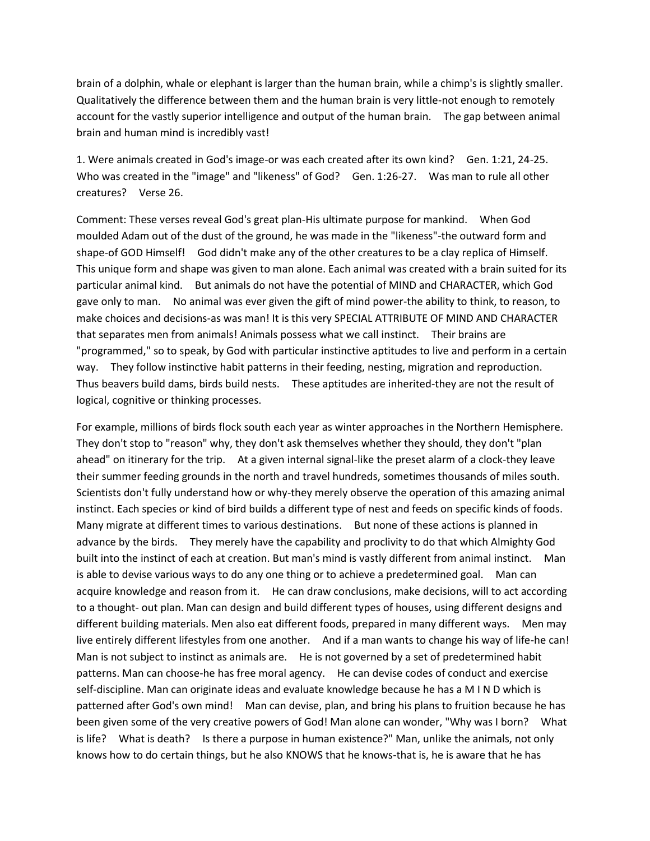brain of a dolphin, whale or elephant is larger than the human brain, while a chimp's is slightly smaller. Qualitatively the difference between them and the human brain is very little-not enough to remotely account for the vastly superior intelligence and output of the human brain. The gap between animal brain and human mind is incredibly vast!

1. Were animals created in God's image-or was each created after its own kind? Gen. 1:21, 24-25. Who was created in the "image" and "likeness" of God? Gen. 1:26-27. Was man to rule all other creatures? Verse 26.

Comment: These verses reveal God's great plan-His ultimate purpose for mankind. When God moulded Adam out of the dust of the ground, he was made in the "likeness"-the outward form and shape-of GOD Himself! God didn't make any of the other creatures to be a clay replica of Himself. This unique form and shape was given to man alone. Each animal was created with a brain suited for its particular animal kind. But animals do not have the potential of MIND and CHARACTER, which God gave only to man. No animal was ever given the gift of mind power-the ability to think, to reason, to make choices and decisions-as was man! It is this very SPECIAL ATTRIBUTE OF MIND AND CHARACTER that separates men from animals! Animals possess what we call instinct. Their brains are "programmed," so to speak, by God with particular instinctive aptitudes to live and perform in a certain way. They follow instinctive habit patterns in their feeding, nesting, migration and reproduction. Thus beavers build dams, birds build nests. These aptitudes are inherited-they are not the result of logical, cognitive or thinking processes.

For example, millions of birds flock south each year as winter approaches in the Northern Hemisphere. They don't stop to "reason" why, they don't ask themselves whether they should, they don't "plan ahead" on itinerary for the trip. At a given internal signal-like the preset alarm of a clock-they leave their summer feeding grounds in the north and travel hundreds, sometimes thousands of miles south. Scientists don't fully understand how or why-they merely observe the operation of this amazing animal instinct. Each species or kind of bird builds a different type of nest and feeds on specific kinds of foods. Many migrate at different times to various destinations. But none of these actions is planned in advance by the birds. They merely have the capability and proclivity to do that which Almighty God built into the instinct of each at creation. But man's mind is vastly different from animal instinct. Man is able to devise various ways to do any one thing or to achieve a predetermined goal. Man can acquire knowledge and reason from it. He can draw conclusions, make decisions, will to act according to a thought- out plan. Man can design and build different types of houses, using different designs and different building materials. Men also eat different foods, prepared in many different ways. Men may live entirely different lifestyles from one another. And if a man wants to change his way of life-he can! Man is not subject to instinct as animals are. He is not governed by a set of predetermined habit patterns. Man can choose-he has free moral agency. He can devise codes of conduct and exercise self-discipline. Man can originate ideas and evaluate knowledge because he has a M I N D which is patterned after God's own mind! Man can devise, plan, and bring his plans to fruition because he has been given some of the very creative powers of God! Man alone can wonder, "Why was I born? What is life? What is death? Is there a purpose in human existence?" Man, unlike the animals, not only knows how to do certain things, but he also KNOWS that he knows-that is, he is aware that he has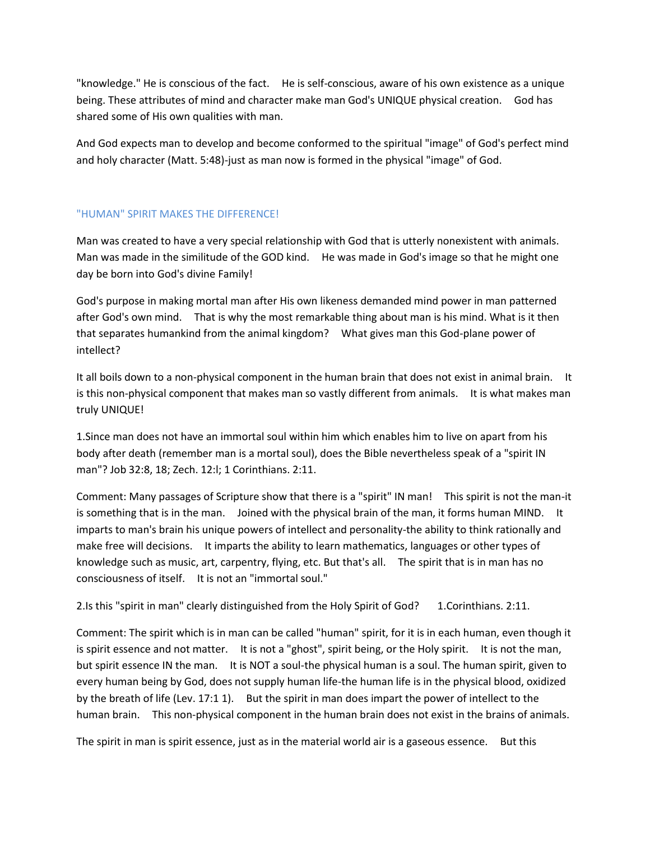"knowledge." He is conscious of the fact. He is self-conscious, aware of his own existence as a unique being. These attributes of mind and character make man God's UNIQUE physical creation. God has shared some of His own qualities with man.

And God expects man to develop and become conformed to the spiritual "image" of God's perfect mind and holy character (Matt. 5:48)-just as man now is formed in the physical "image" of God.

# "HUMAN" SPIRIT MAKES THE DIFFERENCE!

Man was created to have a very special relationship with God that is utterly nonexistent with animals. Man was made in the similitude of the GOD kind. He was made in God's image so that he might one day be born into God's divine Family!

God's purpose in making mortal man after His own likeness demanded mind power in man patterned after God's own mind. That is why the most remarkable thing about man is his mind. What is it then that separates humankind from the animal kingdom? What gives man this God-plane power of intellect?

It all boils down to a non-physical component in the human brain that does not exist in animal brain. It is this non-physical component that makes man so vastly different from animals. It is what makes man truly UNIQUE!

1.Since man does not have an immortal soul within him which enables him to live on apart from his body after death (remember man is a mortal soul), does the Bible nevertheless speak of a "spirit IN man"? Job 32:8, 18; Zech. 12:l; 1 Corinthians. 2:11.

Comment: Many passages of Scripture show that there is a "spirit" IN man! This spirit is not the man-it is something that is in the man. Joined with the physical brain of the man, it forms human MIND. It imparts to man's brain his unique powers of intellect and personality-the ability to think rationally and make free will decisions. It imparts the ability to learn mathematics, languages or other types of knowledge such as music, art, carpentry, flying, etc. But that's all. The spirit that is in man has no consciousness of itself. It is not an "immortal soul."

2.Is this "spirit in man" clearly distinguished from the Holy Spirit of God? 1.Corinthians. 2:11.

Comment: The spirit which is in man can be called "human" spirit, for it is in each human, even though it is spirit essence and not matter. It is not a "ghost", spirit being, or the Holy spirit. It is not the man, but spirit essence IN the man. It is NOT a soul-the physical human is a soul. The human spirit, given to every human being by God, does not supply human life-the human life is in the physical blood, oxidized by the breath of life (Lev. 17:1 1). But the spirit in man does impart the power of intellect to the human brain. This non-physical component in the human brain does not exist in the brains of animals.

The spirit in man is spirit essence, just as in the material world air is a gaseous essence. But this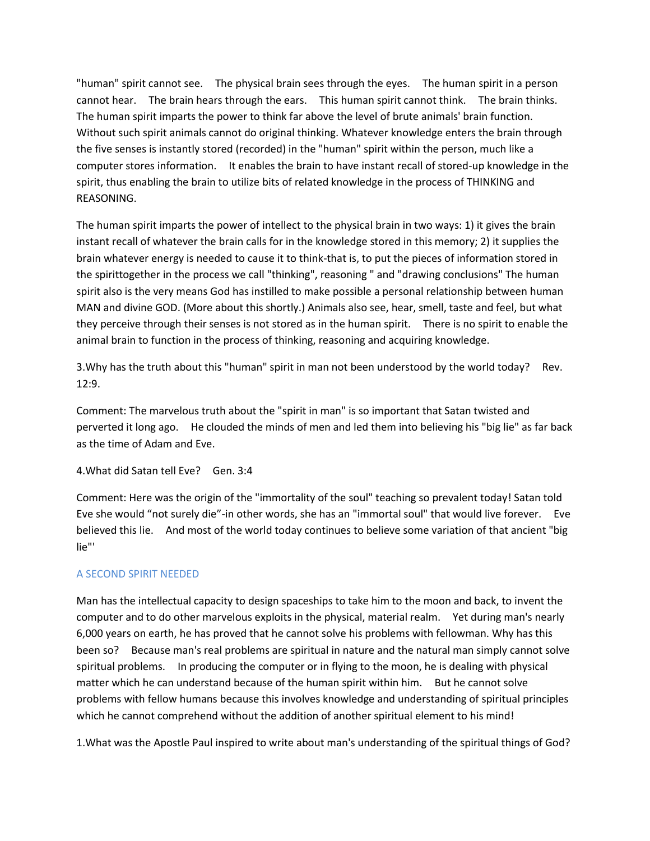"human" spirit cannot see. The physical brain sees through the eyes. The human spirit in a person cannot hear. The brain hears through the ears. This human spirit cannot think. The brain thinks. The human spirit imparts the power to think far above the level of brute animals' brain function. Without such spirit animals cannot do original thinking. Whatever knowledge enters the brain through the five senses is instantly stored (recorded) in the "human" spirit within the person, much like a computer stores information. It enables the brain to have instant recall of stored-up knowledge in the spirit, thus enabling the brain to utilize bits of related knowledge in the process of THINKING and REASONING.

The human spirit imparts the power of intellect to the physical brain in two ways: 1) it gives the brain instant recall of whatever the brain calls for in the knowledge stored in this memory; 2) it supplies the brain whatever energy is needed to cause it to think-that is, to put the pieces of information stored in the spirittogether in the process we call "thinking", reasoning " and "drawing conclusions" The human spirit also is the very means God has instilled to make possible a personal relationship between human MAN and divine GOD. (More about this shortly.) Animals also see, hear, smell, taste and feel, but what they perceive through their senses is not stored as in the human spirit. There is no spirit to enable the animal brain to function in the process of thinking, reasoning and acquiring knowledge.

3.Why has the truth about this "human" spirit in man not been understood by the world today? Rev. 12:9.

Comment: The marvelous truth about the "spirit in man" is so important that Satan twisted and perverted it long ago. He clouded the minds of men and led them into believing his "big lie" as far back as the time of Adam and Eve.

4.What did Satan tell Eve? Gen. 3:4

Comment: Here was the origin of the "immortality of the soul" teaching so prevalent today! Satan told Eve she would "not surely die"-in other words, she has an "immortal soul" that would live forever. Eve believed this lie. And most of the world today continues to believe some variation of that ancient "big lie"'

# A SECOND SPIRIT NEEDED

Man has the intellectual capacity to design spaceships to take him to the moon and back, to invent the computer and to do other marvelous exploits in the physical, material realm. Yet during man's nearly 6,000 years on earth, he has proved that he cannot solve his problems with fellowman. Why has this been so? Because man's real problems are spiritual in nature and the natural man simply cannot solve spiritual problems. In producing the computer or in flying to the moon, he is dealing with physical matter which he can understand because of the human spirit within him. But he cannot solve problems with fellow humans because this involves knowledge and understanding of spiritual principles which he cannot comprehend without the addition of another spiritual element to his mind!

1.What was the Apostle Paul inspired to write about man's understanding of the spiritual things of God?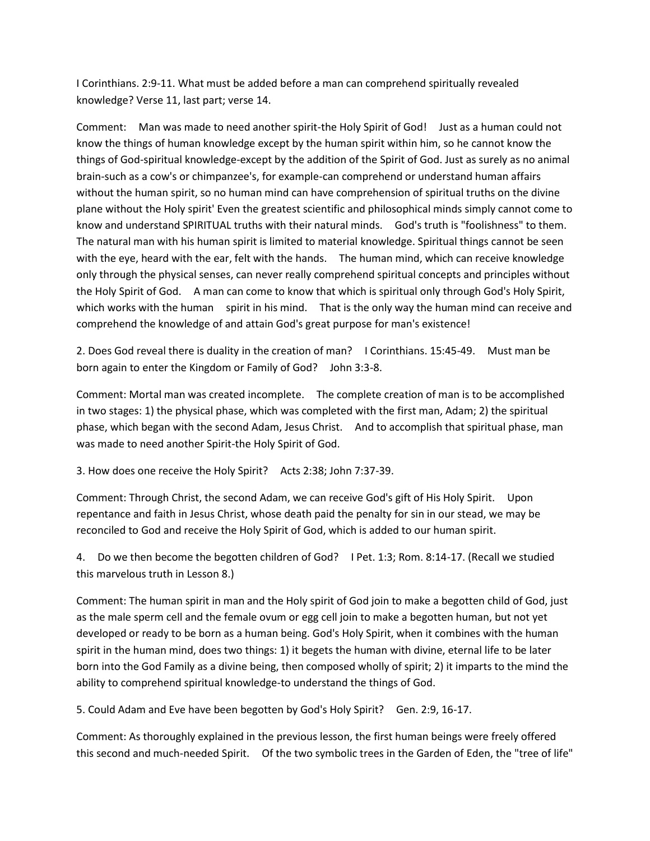I Corinthians. 2:9-11. What must be added before a man can comprehend spiritually revealed knowledge? Verse 11, last part; verse 14.

Comment: Man was made to need another spirit-the Holy Spirit of God! Just as a human could not know the things of human knowledge except by the human spirit within him, so he cannot know the things of God-spiritual knowledge-except by the addition of the Spirit of God. Just as surely as no animal brain-such as a cow's or chimpanzee's, for example-can comprehend or understand human affairs without the human spirit, so no human mind can have comprehension of spiritual truths on the divine plane without the Holy spirit' Even the greatest scientific and philosophical minds simply cannot come to know and understand SPIRITUAL truths with their natural minds. God's truth is "foolishness" to them. The natural man with his human spirit is limited to material knowledge. Spiritual things cannot be seen with the eye, heard with the ear, felt with the hands. The human mind, which can receive knowledge only through the physical senses, can never really comprehend spiritual concepts and principles without the Holy Spirit of God. A man can come to know that which is spiritual only through God's Holy Spirit, which works with the human spirit in his mind. That is the only way the human mind can receive and comprehend the knowledge of and attain God's great purpose for man's existence!

2. Does God reveal there is duality in the creation of man? I Corinthians. 15:45-49. Must man be born again to enter the Kingdom or Family of God? John 3:3-8.

Comment: Mortal man was created incomplete. The complete creation of man is to be accomplished in two stages: 1) the physical phase, which was completed with the first man, Adam; 2) the spiritual phase, which began with the second Adam, Jesus Christ. And to accomplish that spiritual phase, man was made to need another Spirit-the Holy Spirit of God.

3. How does one receive the Holy Spirit? Acts 2:38; John 7:37-39.

Comment: Through Christ, the second Adam, we can receive God's gift of His Holy Spirit. Upon repentance and faith in Jesus Christ, whose death paid the penalty for sin in our stead, we may be reconciled to God and receive the Holy Spirit of God, which is added to our human spirit.

4. Do we then become the begotten children of God? I Pet. 1:3; Rom. 8:14-17. (Recall we studied this marvelous truth in Lesson 8.)

Comment: The human spirit in man and the Holy spirit of God join to make a begotten child of God, just as the male sperm cell and the female ovum or egg cell join to make a begotten human, but not yet developed or ready to be born as a human being. God's Holy Spirit, when it combines with the human spirit in the human mind, does two things: 1) it begets the human with divine, eternal life to be later born into the God Family as a divine being, then composed wholly of spirit; 2) it imparts to the mind the ability to comprehend spiritual knowledge-to understand the things of God.

5. Could Adam and Eve have been begotten by God's Holy Spirit? Gen. 2:9, 16-17.

Comment: As thoroughly explained in the previous lesson, the first human beings were freely offered this second and much-needed Spirit. Of the two symbolic trees in the Garden of Eden, the "tree of life"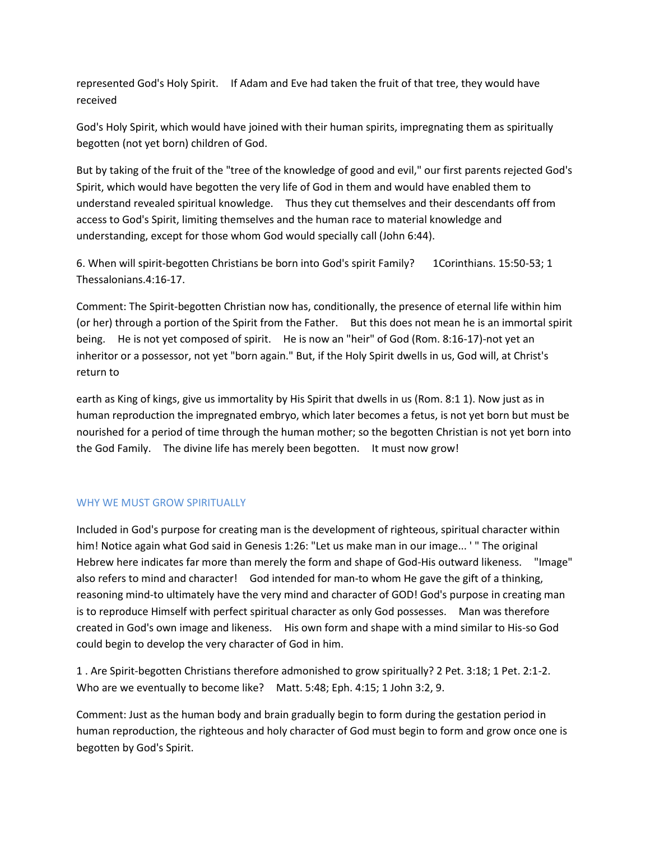represented God's Holy Spirit. If Adam and Eve had taken the fruit of that tree, they would have received

God's Holy Spirit, which would have joined with their human spirits, impregnating them as spiritually begotten (not yet born) children of God.

But by taking of the fruit of the "tree of the knowledge of good and evil," our first parents rejected God's Spirit, which would have begotten the very life of God in them and would have enabled them to understand revealed spiritual knowledge. Thus they cut themselves and their descendants off from access to God's Spirit, limiting themselves and the human race to material knowledge and understanding, except for those whom God would specially call (John 6:44).

6. When will spirit-begotten Christians be born into God's spirit Family? 1Corinthians. 15:50-53; 1 Thessalonians.4:16-17.

Comment: The Spirit-begotten Christian now has, conditionally, the presence of eternal life within him (or her) through a portion of the Spirit from the Father. But this does not mean he is an immortal spirit being. He is not yet composed of spirit. He is now an "heir" of God (Rom. 8:16-17)-not yet an inheritor or a possessor, not yet "born again." But, if the Holy Spirit dwells in us, God will, at Christ's return to

earth as King of kings, give us immortality by His Spirit that dwells in us (Rom. 8:1 1). Now just as in human reproduction the impregnated embryo, which later becomes a fetus, is not yet born but must be nourished for a period of time through the human mother; so the begotten Christian is not yet born into the God Family. The divine life has merely been begotten. It must now grow!

# WHY WE MUST GROW SPIRITUALLY

Included in God's purpose for creating man is the development of righteous, spiritual character within him! Notice again what God said in Genesis 1:26: "Let us make man in our image... '" The original Hebrew here indicates far more than merely the form and shape of God-His outward likeness. "Image" also refers to mind and character! God intended for man-to whom He gave the gift of a thinking, reasoning mind-to ultimately have the very mind and character of GOD! God's purpose in creating man is to reproduce Himself with perfect spiritual character as only God possesses. Man was therefore created in God's own image and likeness. His own form and shape with a mind similar to His-so God could begin to develop the very character of God in him.

1 . Are Spirit-begotten Christians therefore admonished to grow spiritually? 2 Pet. 3:18; 1 Pet. 2:1-2. Who are we eventually to become like? Matt. 5:48; Eph. 4:15; 1 John 3:2, 9.

Comment: Just as the human body and brain gradually begin to form during the gestation period in human reproduction, the righteous and holy character of God must begin to form and grow once one is begotten by God's Spirit.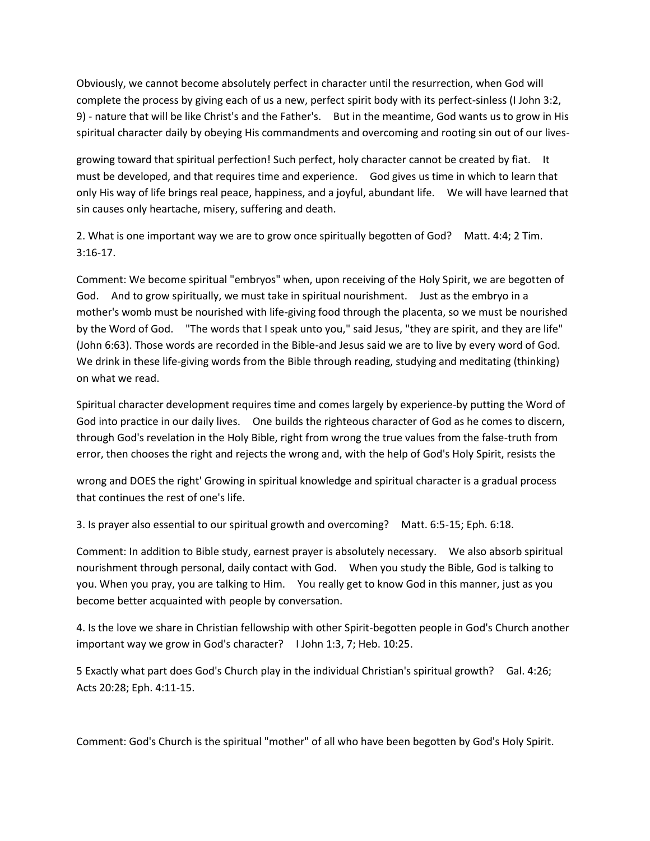Obviously, we cannot become absolutely perfect in character until the resurrection, when God will complete the process by giving each of us a new, perfect spirit body with its perfect-sinless (I John 3:2, 9) - nature that will be like Christ's and the Father's. But in the meantime, God wants us to grow in His spiritual character daily by obeying His commandments and overcoming and rooting sin out of our lives-

growing toward that spiritual perfection! Such perfect, holy character cannot be created by fiat. It must be developed, and that requires time and experience. God gives us time in which to learn that only His way of life brings real peace, happiness, and a joyful, abundant life. We will have learned that sin causes only heartache, misery, suffering and death.

2. What is one important way we are to grow once spiritually begotten of God? Matt. 4:4; 2 Tim. 3:16-17.

Comment: We become spiritual "embryos" when, upon receiving of the Holy Spirit, we are begotten of God. And to grow spiritually, we must take in spiritual nourishment. Just as the embryo in a mother's womb must be nourished with life-giving food through the placenta, so we must be nourished by the Word of God. "The words that I speak unto you," said Jesus, "they are spirit, and they are life" (John 6:63). Those words are recorded in the Bible-and Jesus said we are to live by every word of God. We drink in these life-giving words from the Bible through reading, studying and meditating (thinking) on what we read.

Spiritual character development requires time and comes largely by experience-by putting the Word of God into practice in our daily lives. One builds the righteous character of God as he comes to discern, through God's revelation in the Holy Bible, right from wrong the true values from the false-truth from error, then chooses the right and rejects the wrong and, with the help of God's Holy Spirit, resists the

wrong and DOES the right' Growing in spiritual knowledge and spiritual character is a gradual process that continues the rest of one's life.

3. Is prayer also essential to our spiritual growth and overcoming? Matt. 6:5-15; Eph. 6:18.

Comment: In addition to Bible study, earnest prayer is absolutely necessary. We also absorb spiritual nourishment through personal, daily contact with God. When you study the Bible, God is talking to you. When you pray, you are talking to Him. You really get to know God in this manner, just as you become better acquainted with people by conversation.

4. Is the love we share in Christian fellowship with other Spirit-begotten people in God's Church another important way we grow in God's character? I John 1:3, 7; Heb. 10:25.

5 Exactly what part does God's Church play in the individual Christian's spiritual growth? Gal. 4:26; Acts 20:28; Eph. 4:11-15.

Comment: God's Church is the spiritual "mother" of all who have been begotten by God's Holy Spirit.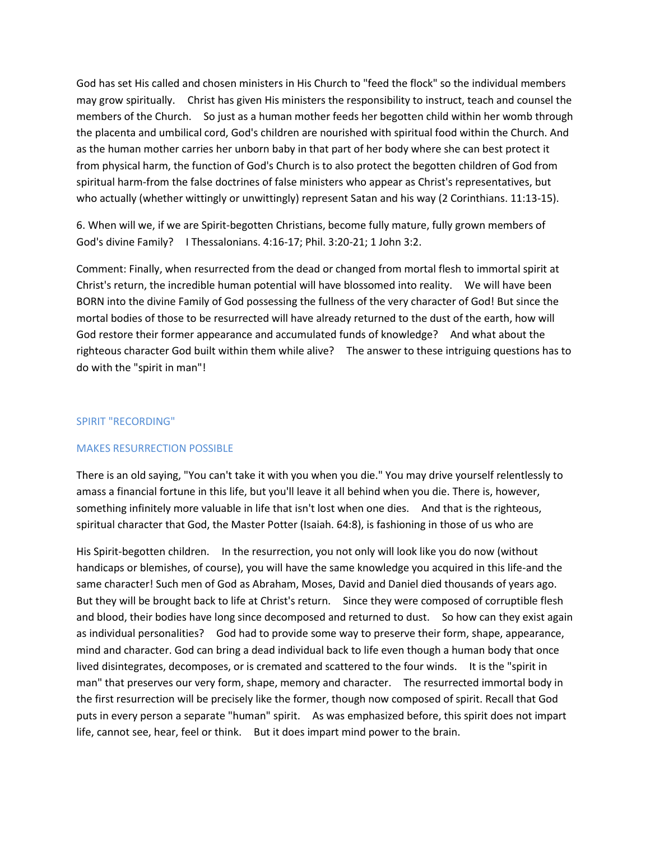God has set His called and chosen ministers in His Church to "feed the flock" so the individual members may grow spiritually. Christ has given His ministers the responsibility to instruct, teach and counsel the members of the Church. So just as a human mother feeds her begotten child within her womb through the placenta and umbilical cord, God's children are nourished with spiritual food within the Church. And as the human mother carries her unborn baby in that part of her body where she can best protect it from physical harm, the function of God's Church is to also protect the begotten children of God from spiritual harm-from the false doctrines of false ministers who appear as Christ's representatives, but who actually (whether wittingly or unwittingly) represent Satan and his way (2 Corinthians. 11:13-15).

6. When will we, if we are Spirit-begotten Christians, become fully mature, fully grown members of God's divine Family? I Thessalonians. 4:16-17; Phil. 3:20-21; 1 John 3:2.

Comment: Finally, when resurrected from the dead or changed from mortal flesh to immortal spirit at Christ's return, the incredible human potential will have blossomed into reality. We will have been BORN into the divine Family of God possessing the fullness of the very character of God! But since the mortal bodies of those to be resurrected will have already returned to the dust of the earth, how will God restore their former appearance and accumulated funds of knowledge? And what about the righteous character God built within them while alive? The answer to these intriguing questions has to do with the "spirit in man"!

#### SPIRIT "RECORDING"

# MAKES RESURRECTION POSSIBLE

There is an old saying, "You can't take it with you when you die." You may drive yourself relentlessly to amass a financial fortune in this life, but you'll leave it all behind when you die. There is, however, something infinitely more valuable in life that isn't lost when one dies. And that is the righteous, spiritual character that God, the Master Potter (Isaiah. 64:8), is fashioning in those of us who are

His Spirit-begotten children. In the resurrection, you not only will look like you do now (without handicaps or blemishes, of course), you will have the same knowledge you acquired in this life-and the same character! Such men of God as Abraham, Moses, David and Daniel died thousands of years ago. But they will be brought back to life at Christ's return. Since they were composed of corruptible flesh and blood, their bodies have long since decomposed and returned to dust. So how can they exist again as individual personalities? God had to provide some way to preserve their form, shape, appearance, mind and character. God can bring a dead individual back to life even though a human body that once lived disintegrates, decomposes, or is cremated and scattered to the four winds. It is the "spirit in man" that preserves our very form, shape, memory and character. The resurrected immortal body in the first resurrection will be precisely like the former, though now composed of spirit. Recall that God puts in every person a separate "human" spirit. As was emphasized before, this spirit does not impart life, cannot see, hear, feel or think. But it does impart mind power to the brain.